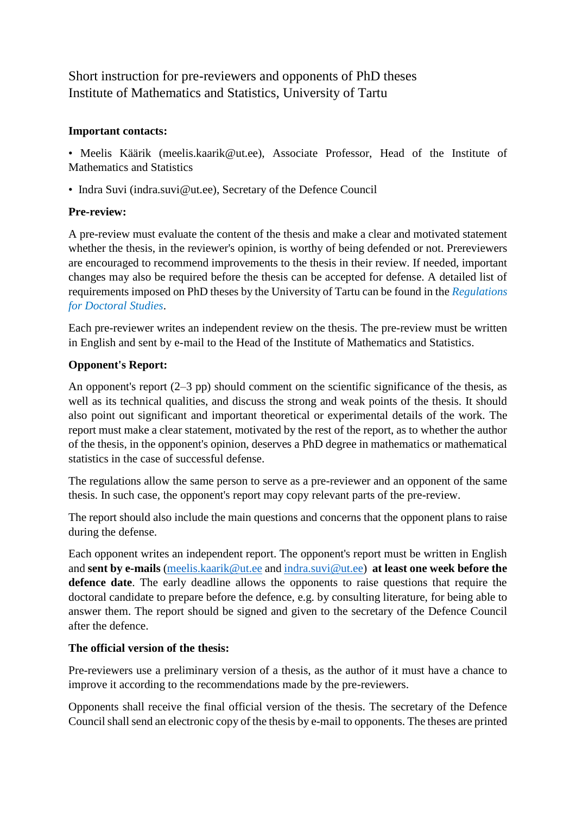# Short instruction for pre-reviewers and opponents of PhD theses Institute of Mathematics and Statistics, University of Tartu

### **Important contacts:**

• Meelis Käärik (meelis.kaarik@ut.ee), Associate Professor, Head of the Institute of Mathematics and Statistics

• Indra Suvi (indra.suvi@ut.ee), Secretary of the Defence Council

# **Pre-review:**

A pre-review must evaluate the content of the thesis and make a clear and motivated statement whether the thesis, in the reviewer's opinion, is worthy of being defended or not. Prereviewers are encouraged to recommend improvements to the thesis in their review. If needed, important changes may also be required before the thesis can be accepted for defense. A detailed list of requirements imposed on PhD theses by the University of Tartu can be found in the *Regulations for Doctoral Studies*.

Each pre-reviewer writes an independent review on the thesis. The pre-review must be written in English and sent by e-mail to the Head of the Institute of Mathematics and Statistics.

# **Opponent's Report:**

An opponent's report  $(2-3$  pp) should comment on the scientific significance of the thesis, as well as its technical qualities, and discuss the strong and weak points of the thesis. It should also point out significant and important theoretical or experimental details of the work. The report must make a clear statement, motivated by the rest of the report, as to whether the author of the thesis, in the opponent's opinion, deserves a PhD degree in mathematics or mathematical statistics in the case of successful defense.

The regulations allow the same person to serve as a pre-reviewer and an opponent of the same thesis. In such case, the opponent's report may copy relevant parts of the pre-review.

The report should also include the main questions and concerns that the opponent plans to raise during the defense.

Each opponent writes an independent report. The opponent's report must be written in English and **sent by e-mails** [\(meelis.kaarik@ut.ee](mailto:meelis.kaarik@ut.ee) and [indra.suvi@ut.ee\)](mailto:indra.suvi@ut.ee) **at least one week before the defence date**. The early deadline allows the opponents to raise questions that require the doctoral candidate to prepare before the defence, e.g. by consulting literature, for being able to answer them. The report should be signed and given to the secretary of the Defence Council after the defence.

## **The official version of the thesis:**

Pre-reviewers use a preliminary version of a thesis, as the author of it must have a chance to improve it according to the recommendations made by the pre-reviewers.

Opponents shall receive the final official version of the thesis. The secretary of the Defence Council shall send an electronic copy of the thesis by e-mail to opponents. The theses are printed